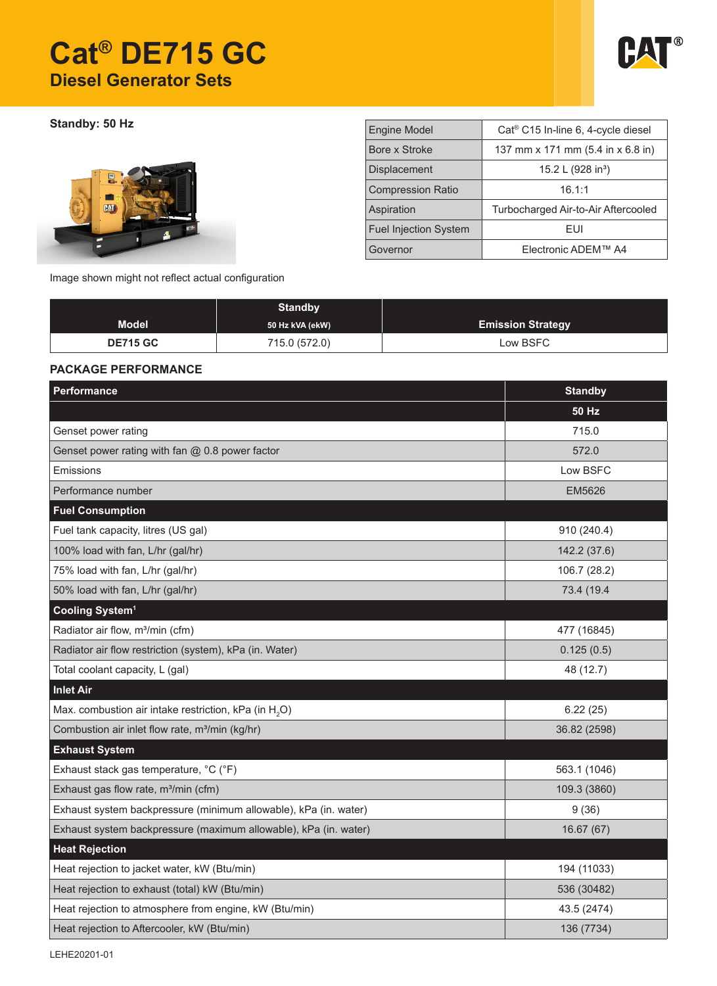# **Cat® DE715 GC Diesel Generator Sets**



**Standby: 50 Hz** 



| <b>Engine Model</b>          | Cat <sup>®</sup> C15 In-line 6, 4-cycle diesel |  |  |
|------------------------------|------------------------------------------------|--|--|
| Bore x Stroke                | 137 mm x 171 mm (5.4 in x 6.8 in)              |  |  |
| Displacement                 | 15.2 L (928 in <sup>3</sup> )                  |  |  |
| <b>Compression Ratio</b>     | 16.1:1                                         |  |  |
| Aspiration                   | Turbocharged Air-to-Air Aftercooled            |  |  |
| <b>Fuel Injection System</b> | FUI                                            |  |  |
| Governor                     | Electronic ADEM™ A4                            |  |  |

Image shown might not reflect actual configuration

|                 | <b>Standby</b>  |                          |
|-----------------|-----------------|--------------------------|
| <b>Model</b>    | 50 Hz kVA (ekW) | <b>Emission Strategy</b> |
| <b>DE715 GC</b> | 715.0 (572.0)   | Low BSFC                 |

## **PACKAGE PERFORMANCE**

| Performance                                                       | <b>Standby</b> |
|-------------------------------------------------------------------|----------------|
|                                                                   | <b>50 Hz</b>   |
| Genset power rating                                               | 715.0          |
| Genset power rating with fan @ 0.8 power factor                   | 572.0          |
| Emissions                                                         | Low BSFC       |
| Performance number                                                | EM5626         |
| <b>Fuel Consumption</b>                                           |                |
| Fuel tank capacity, litres (US gal)                               | 910 (240.4)    |
| 100% load with fan, L/hr (gal/hr)                                 | 142.2 (37.6)   |
| 75% load with fan, L/hr (gal/hr)                                  | 106.7 (28.2)   |
| 50% load with fan, L/hr (gal/hr)                                  | 73.4 (19.4     |
| Cooling System <sup>1</sup>                                       |                |
| Radiator air flow, m <sup>3</sup> /min (cfm)                      | 477 (16845)    |
| Radiator air flow restriction (system), kPa (in. Water)           | 0.125(0.5)     |
| Total coolant capacity, L (gal)                                   | 48 (12.7)      |
| <b>Inlet Air</b>                                                  |                |
| Max. combustion air intake restriction, kPa (in H <sub>2</sub> O) | 6.22(25)       |
| Combustion air inlet flow rate, m <sup>3</sup> /min (kg/hr)       | 36.82 (2598)   |
| <b>Exhaust System</b>                                             |                |
| Exhaust stack gas temperature, °C (°F)                            | 563.1 (1046)   |
| Exhaust gas flow rate, m <sup>3</sup> /min (cfm)                  | 109.3 (3860)   |
| Exhaust system backpressure (minimum allowable), kPa (in. water)  | 9(36)          |
| Exhaust system backpressure (maximum allowable), kPa (in. water)  | 16.67(67)      |
| <b>Heat Rejection</b>                                             |                |
| Heat rejection to jacket water, kW (Btu/min)                      | 194 (11033)    |
| Heat rejection to exhaust (total) kW (Btu/min)                    | 536 (30482)    |
| Heat rejection to atmosphere from engine, kW (Btu/min)            | 43.5 (2474)    |
| Heat rejection to Aftercooler, kW (Btu/min)                       | 136 (7734)     |